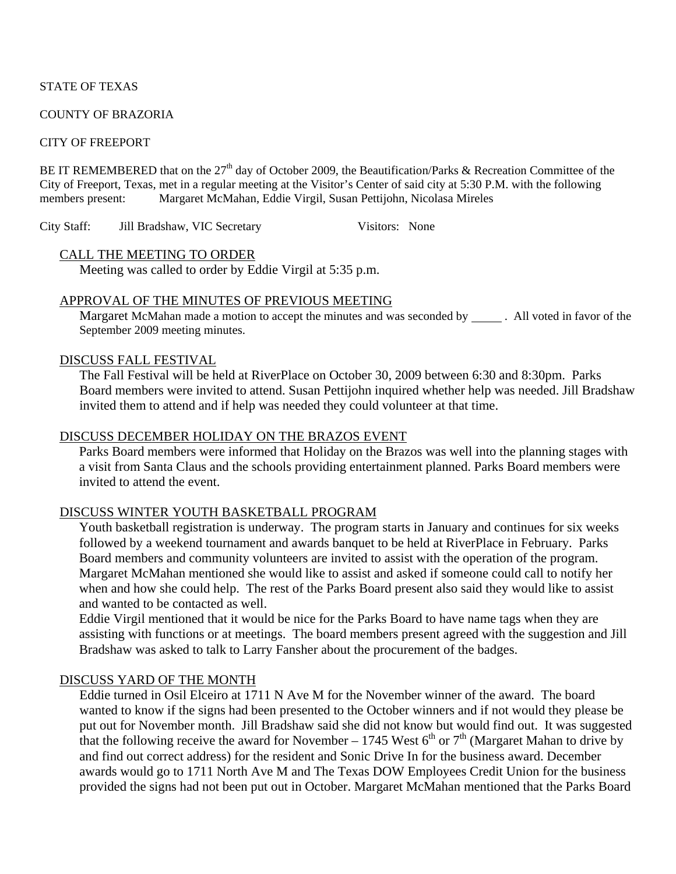### STATE OF TEXAS

#### COUNTY OF BRAZORIA

#### CITY OF FREEPORT

BE IT REMEMBERED that on the  $27<sup>th</sup>$  day of October 2009, the Beautification/Parks & Recreation Committee of the City of Freeport, Texas, met in a regular meeting at the Visitor's Center of said city at 5:30 P.M. with the following members present: Margaret McMahan, Eddie Virgil, Susan Pettijohn, Nicolasa Mireles

City Staff: Jill Bradshaw, VIC Secretary Visitors: None

### CALL THE MEETING TO ORDER

Meeting was called to order by Eddie Virgil at 5:35 p.m.

# APPROVAL OF THE MINUTES OF PREVIOUS MEETING

Margaret McMahan made a motion to accept the minutes and was seconded by \_\_\_\_\_\_. All voted in favor of the September 2009 meeting minutes.

### DISCUSS FALL FESTIVAL

The Fall Festival will be held at RiverPlace on October 30, 2009 between 6:30 and 8:30pm. Parks Board members were invited to attend. Susan Pettijohn inquired whether help was needed. Jill Bradshaw invited them to attend and if help was needed they could volunteer at that time.

### DISCUSS DECEMBER HOLIDAY ON THE BRAZOS EVENT

Parks Board members were informed that Holiday on the Brazos was well into the planning stages with a visit from Santa Claus and the schools providing entertainment planned. Parks Board members were invited to attend the event.

# DISCUSS WINTER YOUTH BASKETBALL PROGRAM

Youth basketball registration is underway. The program starts in January and continues for six weeks followed by a weekend tournament and awards banquet to be held at RiverPlace in February. Parks Board members and community volunteers are invited to assist with the operation of the program. Margaret McMahan mentioned she would like to assist and asked if someone could call to notify her when and how she could help. The rest of the Parks Board present also said they would like to assist and wanted to be contacted as well.

Eddie Virgil mentioned that it would be nice for the Parks Board to have name tags when they are assisting with functions or at meetings. The board members present agreed with the suggestion and Jill Bradshaw was asked to talk to Larry Fansher about the procurement of the badges.

### DISCUSS YARD OF THE MONTH

Eddie turned in Osil Elceiro at 1711 N Ave M for the November winner of the award. The board wanted to know if the signs had been presented to the October winners and if not would they please be put out for November month. Jill Bradshaw said she did not know but would find out. It was suggested that the following receive the award for November – 1745 West  $6<sup>th</sup>$  or  $7<sup>th</sup>$  (Margaret Mahan to drive by and find out correct address) for the resident and Sonic Drive In for the business award. December awards would go to 1711 North Ave M and The Texas DOW Employees Credit Union for the business provided the signs had not been put out in October. Margaret McMahan mentioned that the Parks Board